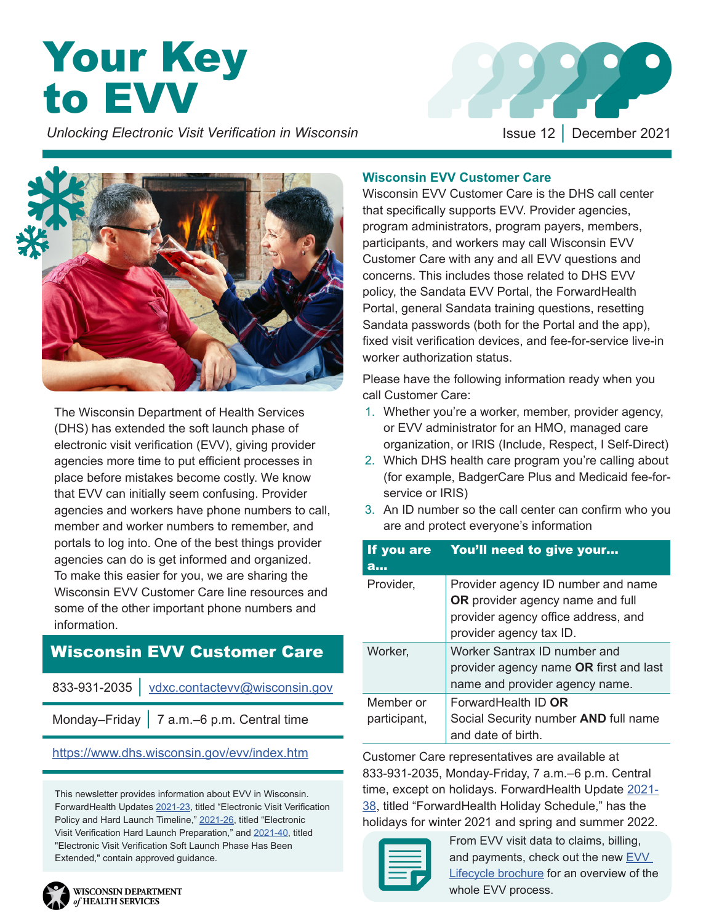# **Your Key** to EVV

 *Unlocking Electronic Visit Verification in Wisconsin Inference 12 | December 2021* 





The Wisconsin Department of Health Services (DHS) has extended the soft launch phase of electronic visit verification (EVV), giving provider agencies more time to put efficient processes in place before mistakes become costly. We know that EVV can initially seem confusing. Provider agencies and workers have phone numbers to call, member and worker numbers to remember, and portals to log into. One of the best things provider agencies can do is get informed and organized. To make this easier for you, we are sharing the Wisconsin EVV Customer Care line resources and some of the other important phone numbers and information.

### Wisconsin EVV Customer Care

833-931-2035 │ [vdxc.contactevv@wisconsin.gov](mailto:vdxc.contactevv%40wisconsin.gov%20?subject=)

Monday–Friday │ 7 a.m.–6 p.m. Central time

#### <https://www.dhs.wisconsin.gov/evv/index.htm>

This newsletter provides information about EVV in Wisconsin. ForwardHealth Updates [2021-23](https://www.forwardhealth.wi.gov/kw/pdf/2021-23.pdf), titled "Electronic Visit Verification Policy and Hard Launch Timeline," [2021-26,](https://www.forwardhealth.wi.gov/kw/pdf/2021-26.pdf) titled "Electronic Visit Verification Hard Launch Preparation," and [2021-40](https://www.forwardhealth.wi.gov/kw/pdf/2021-40.pdf), titled "Electronic Visit Verification Soft Launch Phase Has Been Extended," contain approved guidance.

#### **Wisconsin EVV Customer Care**

Wisconsin EVV Customer Care is the DHS call center that specifically supports EVV. Provider agencies, program administrators, program payers, members, participants, and workers may call Wisconsin EVV Customer Care with any and all EVV questions and concerns. This includes those related to DHS EVV policy, the Sandata EVV Portal, the ForwardHealth Portal, general Sandata training questions, resetting Sandata passwords (both for the Portal and the app), fixed visit verification devices, and fee-for-service live-in worker authorization status.

Please have the following information ready when you call Customer Care:

- 1. Whether you're a worker, member, provider agency, or EVV administrator for an HMO, managed care organization, or IRIS (Include, Respect, I Self-Direct)
- 2. Which DHS health care program you're calling about (for example, BadgerCare Plus and Medicaid fee-forservice or IRIS)
- 3. An ID number so the call center can confirm who you are and protect everyone's information

| If you are<br>a           | You'll need to give your                                                                                                                 |
|---------------------------|------------------------------------------------------------------------------------------------------------------------------------------|
| Provider,                 | Provider agency ID number and name<br>OR provider agency name and full<br>provider agency office address, and<br>provider agency tax ID. |
| Worker,                   | Worker Santrax ID number and<br>provider agency name OR first and last<br>name and provider agency name.                                 |
| Member or<br>participant, | ForwardHealth ID OR<br>Social Security number AND full name<br>and date of birth.                                                        |

Customer Care representatives are available at 833-931-2035, Monday-Friday, 7 a.m.–6 p.m. Central time, except on holidays. ForwardHealth Update [2021-](https://www.forwardhealth.wi.gov/kw/pdf/2021-38.pdf) [38](https://www.forwardhealth.wi.gov/kw/pdf/2021-38.pdf), titled "ForwardHealth Holiday Schedule," has the holidays for winter 2021 and spring and summer 2022.



From EVV visit data to claims, billing, and payments, check out the new EVV [Lifecycle brochure](https://www.dhs.wisconsin.gov/publications/p03124.pdf ) for an overview of the whole EVV process.